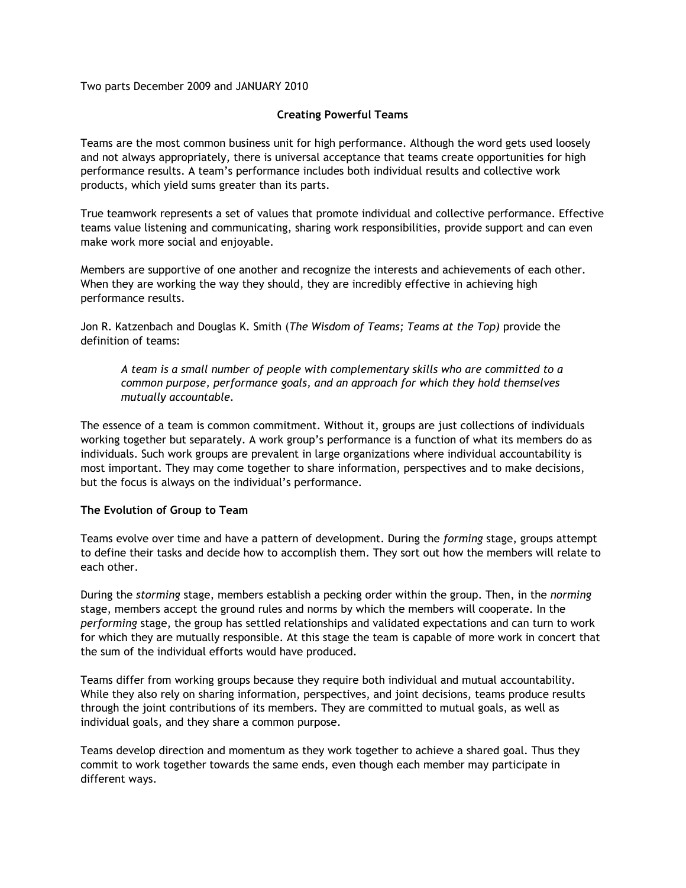Two parts December 2009 and JANUARY 2010

## **Creating Powerful Teams**

Teams are the most common business unit for high performance. Although the word gets used loosely and not always appropriately, there is universal acceptance that teams create opportunities for high performance results. A team's performance includes both individual results and collective work products, which yield sums greater than its parts.

True teamwork represents a set of values that promote individual and collective performance. Effective teams value listening and communicating, sharing work responsibilities, provide support and can even make work more social and enjoyable.

Members are supportive of one another and recognize the interests and achievements of each other. When they are working the way they should, they are incredibly effective in achieving high performance results.

Jon R. Katzenbach and Douglas K. Smith (*The Wisdom of Teams; Teams at the Top)* provide the definition of teams:

*A team is a small number of people with complementary skills who are committed to a common purpose, performance goals, and an approach for which they hold themselves mutually accountable.* 

The essence of a team is common commitment. Without it, groups are just collections of individuals working together but separately. A work group's performance is a function of what its members do as individuals. Such work groups are prevalent in large organizations where individual accountability is most important. They may come together to share information, perspectives and to make decisions, but the focus is always on the individual's performance.

#### **The Evolution of Group to Team**

Teams evolve over time and have a pattern of development. During the *forming* stage, groups attempt to define their tasks and decide how to accomplish them. They sort out how the members will relate to each other.

During the *storming* stage, members establish a pecking order within the group. Then, in the *norming* stage, members accept the ground rules and norms by which the members will cooperate. In the *performing* stage, the group has settled relationships and validated expectations and can turn to work for which they are mutually responsible. At this stage the team is capable of more work in concert that the sum of the individual efforts would have produced.

Teams differ from working groups because they require both individual and mutual accountability. While they also rely on sharing information, perspectives, and joint decisions, teams produce results through the joint contributions of its members. They are committed to mutual goals, as well as individual goals, and they share a common purpose.

Teams develop direction and momentum as they work together to achieve a shared goal. Thus they commit to work together towards the same ends, even though each member may participate in different ways.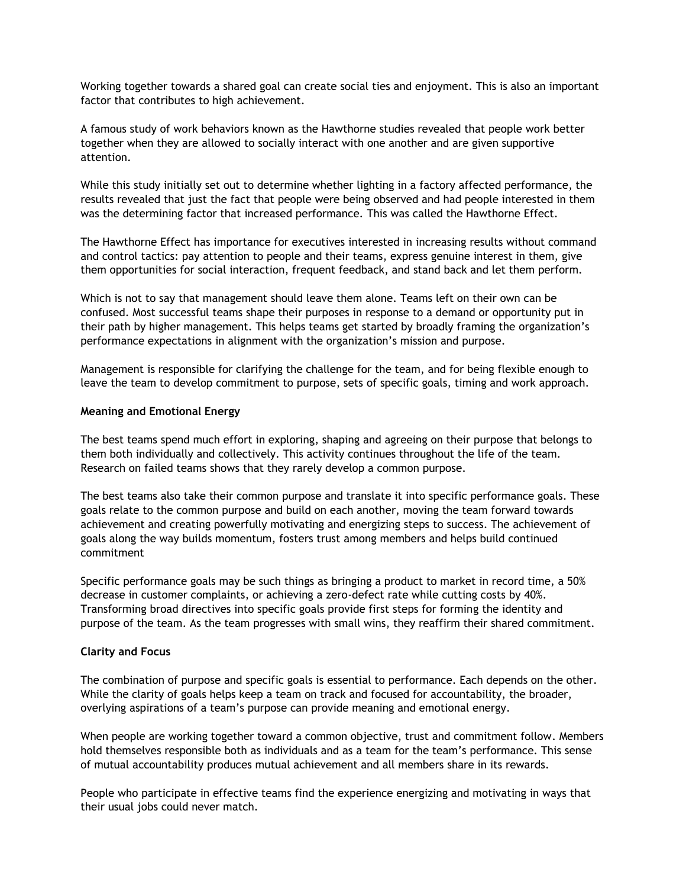Working together towards a shared goal can create social ties and enjoyment. This is also an important factor that contributes to high achievement.

A famous study of work behaviors known as the Hawthorne studies revealed that people work better together when they are allowed to socially interact with one another and are given supportive attention.

While this study initially set out to determine whether lighting in a factory affected performance, the results revealed that just the fact that people were being observed and had people interested in them was the determining factor that increased performance. This was called the Hawthorne Effect.

The Hawthorne Effect has importance for executives interested in increasing results without command and control tactics: pay attention to people and their teams, express genuine interest in them, give them opportunities for social interaction, frequent feedback, and stand back and let them perform.

Which is not to say that management should leave them alone. Teams left on their own can be confused. Most successful teams shape their purposes in response to a demand or opportunity put in their path by higher management. This helps teams get started by broadly framing the organization's performance expectations in alignment with the organization's mission and purpose.

Management is responsible for clarifying the challenge for the team, and for being flexible enough to leave the team to develop commitment to purpose, sets of specific goals, timing and work approach.

#### **Meaning and Emotional Energy**

The best teams spend much effort in exploring, shaping and agreeing on their purpose that belongs to them both individually and collectively. This activity continues throughout the life of the team. Research on failed teams shows that they rarely develop a common purpose.

The best teams also take their common purpose and translate it into specific performance goals. These goals relate to the common purpose and build on each another, moving the team forward towards achievement and creating powerfully motivating and energizing steps to success. The achievement of goals along the way builds momentum, fosters trust among members and helps build continued commitment

Specific performance goals may be such things as bringing a product to market in record time, a 50% decrease in customer complaints, or achieving a zero-defect rate while cutting costs by 40%. Transforming broad directives into specific goals provide first steps for forming the identity and purpose of the team. As the team progresses with small wins, they reaffirm their shared commitment.

#### **Clarity and Focus**

The combination of purpose and specific goals is essential to performance. Each depends on the other. While the clarity of goals helps keep a team on track and focused for accountability, the broader, overlying aspirations of a team's purpose can provide meaning and emotional energy.

When people are working together toward a common objective, trust and commitment follow. Members hold themselves responsible both as individuals and as a team for the team's performance. This sense of mutual accountability produces mutual achievement and all members share in its rewards.

People who participate in effective teams find the experience energizing and motivating in ways that their usual jobs could never match.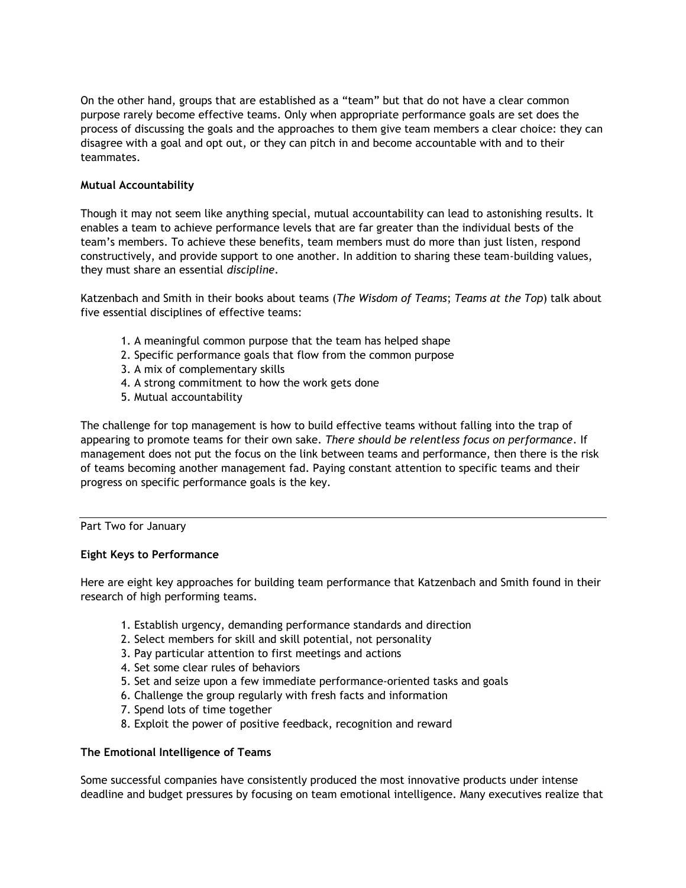On the other hand, groups that are established as a "team" but that do not have a clear common purpose rarely become effective teams. Only when appropriate performance goals are set does the process of discussing the goals and the approaches to them give team members a clear choice: they can disagree with a goal and opt out, or they can pitch in and become accountable with and to their teammates.

# **Mutual Accountability**

Though it may not seem like anything special, mutual accountability can lead to astonishing results. It enables a team to achieve performance levels that are far greater than the individual bests of the team's members. To achieve these benefits, team members must do more than just listen, respond constructively, and provide support to one another. In addition to sharing these team-building values, they must share an essential *discipline*.

Katzenbach and Smith in their books about teams (*The Wisdom of Teams*; *Teams at the Top*) talk about five essential disciplines of effective teams:

- 1. A meaningful common purpose that the team has helped shape
- 2. Specific performance goals that flow from the common purpose
- 3. A mix of complementary skills
- 4. A strong commitment to how the work gets done
- 5. Mutual accountability

The challenge for top management is how to build effective teams without falling into the trap of appearing to promote teams for their own sake. *There should be relentless focus on performance*. If management does not put the focus on the link between teams and performance, then there is the risk of teams becoming another management fad. Paying constant attention to specific teams and their progress on specific performance goals is the key.

#### Part Two for January

#### **Eight Keys to Performance**

Here are eight key approaches for building team performance that Katzenbach and Smith found in their research of high performing teams.

- 1. Establish urgency, demanding performance standards and direction
- 2. Select members for skill and skill potential, not personality
- 3. Pay particular attention to first meetings and actions
- 4. Set some clear rules of behaviors
- 5. Set and seize upon a few immediate performance-oriented tasks and goals
- 6. Challenge the group regularly with fresh facts and information
- 7. Spend lots of time together
- 8. Exploit the power of positive feedback, recognition and reward

#### **The Emotional Intelligence of Teams**

Some successful companies have consistently produced the most innovative products under intense deadline and budget pressures by focusing on team emotional intelligence. Many executives realize that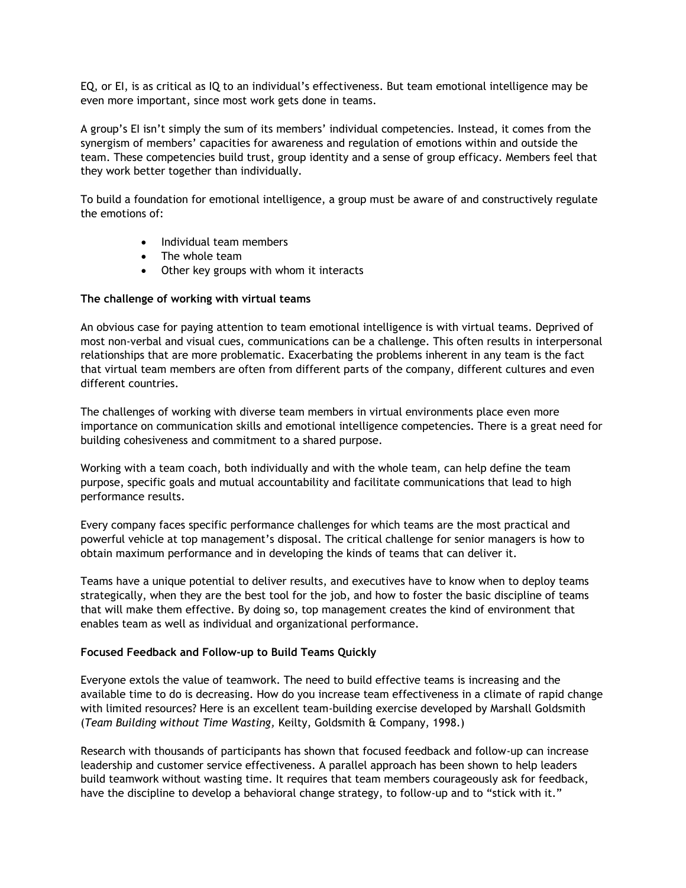EQ, or EI, is as critical as IQ to an individual's effectiveness. But team emotional intelligence may be even more important, since most work gets done in teams.

A group's EI isn't simply the sum of its members' individual competencies. Instead, it comes from the synergism of members' capacities for awareness and regulation of emotions within and outside the team. These competencies build trust, group identity and a sense of group efficacy. Members feel that they work better together than individually.

To build a foundation for emotional intelligence, a group must be aware of and constructively regulate the emotions of:

- Individual team members
- The whole team
- Other key groups with whom it interacts

### **The challenge of working with virtual teams**

An obvious case for paying attention to team emotional intelligence is with virtual teams. Deprived of most non-verbal and visual cues, communications can be a challenge. This often results in interpersonal relationships that are more problematic. Exacerbating the problems inherent in any team is the fact that virtual team members are often from different parts of the company, different cultures and even different countries.

The challenges of working with diverse team members in virtual environments place even more importance on communication skills and emotional intelligence competencies. There is a great need for building cohesiveness and commitment to a shared purpose.

Working with a team coach, both individually and with the whole team, can help define the team purpose, specific goals and mutual accountability and facilitate communications that lead to high performance results.

Every company faces specific performance challenges for which teams are the most practical and powerful vehicle at top management's disposal. The critical challenge for senior managers is how to obtain maximum performance and in developing the kinds of teams that can deliver it.

Teams have a unique potential to deliver results, and executives have to know when to deploy teams strategically, when they are the best tool for the job, and how to foster the basic discipline of teams that will make them effective. By doing so, top management creates the kind of environment that enables team as well as individual and organizational performance.

#### **Focused Feedback and Follow-up to Build Teams Quickly**

Everyone extols the value of teamwork. The need to build effective teams is increasing and the available time to do is decreasing. How do you increase team effectiveness in a climate of rapid change with limited resources? Here is an excellent team-building exercise developed by Marshall Goldsmith (*Team Building without Time Wasting,* Keilty, Goldsmith & Company, 1998.)

Research with thousands of participants has shown that focused feedback and follow-up can increase leadership and customer service effectiveness. A parallel approach has been shown to help leaders build teamwork without wasting time. It requires that team members courageously ask for feedback, have the discipline to develop a behavioral change strategy, to follow-up and to "stick with it."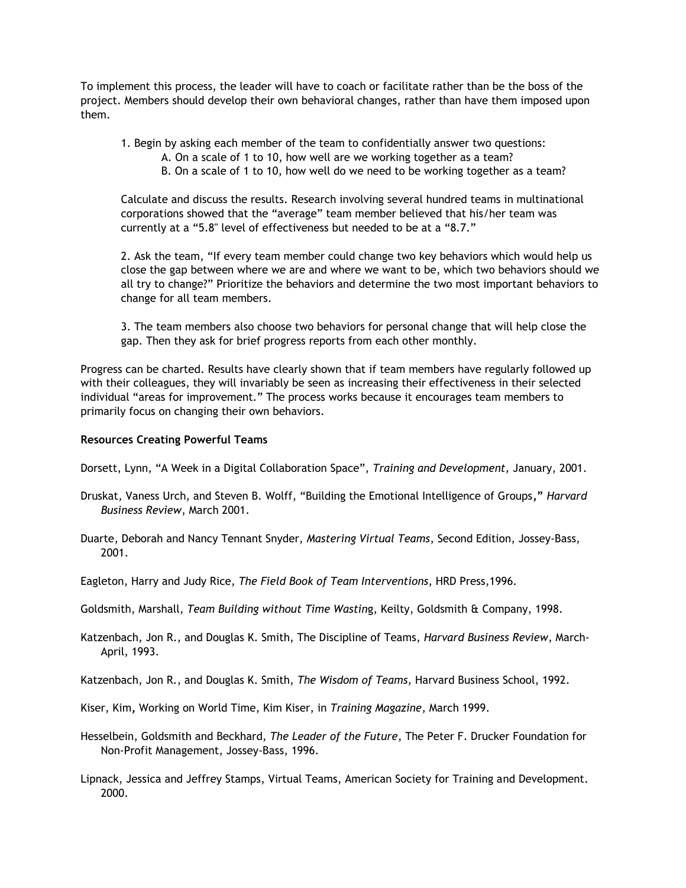To implement this process, the leader will have to coach or facilitate rather than be the boss of the project. Members should develop their own behavioral changes, rather than have them imposed upon them.

- 1. Begin by asking each member of the team to confidentially answer two questions:
	- A. On a scale of 1 to 10, how well are we working together as a team?
		- B. On a scale of 1 to 10, how well do we need to be working together as a team?

Calculate and discuss the results. Research involving several hundred teams in multinational corporations showed that the "average" team member believed that his/her team was currently at a "5.8" level of effectiveness but needed to be at a "8.7."

2. Ask the team, "If every team member could change two key behaviors which would help us close the gap between where we are and where we want to be, which two behaviors should we all try to change?" Prioritize the behaviors and determine the two most important behaviors to change for all team members.

3. The team members also choose two behaviors for personal change that will help close the gap. Then they ask for brief progress reports from each other monthly.

Progress can be charted. Results have clearly shown that if team members have regularly followed up with their colleagues, they will invariably be seen as increasing their effectiveness in their selected individual "areas for improvement." The process works because it encourages team members to primarily focus on changing their own behaviors.

### **Resources Creating Powerful Teams**

- Dorsett, Lynn, "A Week in a Digital Collaboration Space", *Training and Development,* January, 2001.
- Druskat, Vaness Urch, and Steven B. Wolff, "Building the Emotional Intelligence of Groups**,"** *Harvard Business Review*, March 2001.
- Duarte, Deborah and Nancy Tennant Snyder, *Mastering Virtual Teams*, Second Edition, Jossey-Bass, 2001.
- Eagleton, Harry and Judy Rice, *The Field Book of Team Interventions*, HRD Press,1996.
- Goldsmith, Marshall, *Team Building without Time Wastin*g, Keilty, Goldsmith & Company, 1998.
- Katzenbach, Jon R., and Douglas K. Smith, The Discipline of Teams, *Harvard Business Review*, March-April, 1993.

Katzenbach, Jon R., and Douglas K. Smith, *The Wisdom of Teams,* Harvard Business School, 1992.

- Kiser, Kim**,** Working on World Time, Kim Kiser, in *Training Magazine*, March 1999.
- Hesselbein, Goldsmith and Beckhard, *The Leader of the Future*, The Peter F. Drucker Foundation for Non-Profit Management, Jossey-Bass, 1996.
- Lipnack, Jessica and Jeffrey Stamps, Virtual Teams, American Society for Training and Development. 2000.